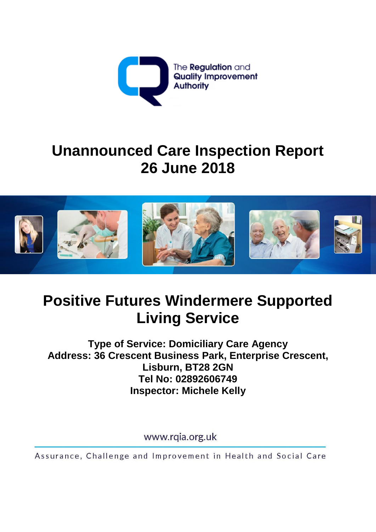

# **Unannounced Care Inspection Report 26 June 2018**



## **Positive Futures Windermere Supported Living Service**

**Type of Service: Domiciliary Care Agency Address: 36 Crescent Business Park, Enterprise Crescent, Lisburn, BT28 2GN Tel No: 02892606749 Inspector: Michele Kelly**

www.rqia.org.uk

Assurance, Challenge and Improvement in Health and Social Care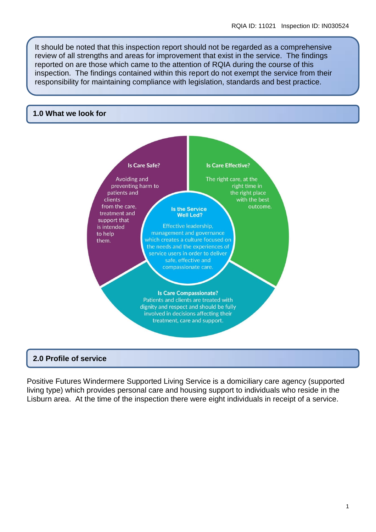It should be noted that this inspection report should not be regarded as a comprehensive review of all strengths and areas for improvement that exist in the service. The findings reported on are those which came to the attention of RQIA during the course of this inspection. The findings contained within this report do not exempt the service from their responsibility for maintaining compliance with legislation, standards and best practice.

#### **1.0 What we look for**



#### **2.0 Profile of service**

Positive Futures Windermere Supported Living Service is a domiciliary care agency (supported living type) which provides personal care and housing support to individuals who reside in the Lisburn area. At the time of the inspection there were eight individuals in receipt of a service.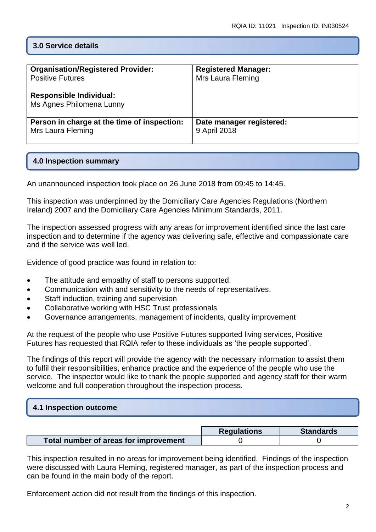## **3.0 Service details**

| <b>Organisation/Registered Provider:</b>                   | <b>Registered Manager:</b> |
|------------------------------------------------------------|----------------------------|
| <b>Positive Futures</b>                                    | Mrs Laura Fleming          |
| <b>Responsible Individual:</b><br>Ms Agnes Philomena Lunny |                            |
| Person in charge at the time of inspection:                | Date manager registered:   |
| Mrs Laura Fleming                                          | 9 April 2018               |

## **4.0 Inspection summary**

An unannounced inspection took place on 26 June 2018 from 09:45 to 14:45.

This inspection was underpinned by the Domiciliary Care Agencies Regulations (Northern Ireland) 2007 and the Domiciliary Care Agencies Minimum Standards, 2011.

The inspection assessed progress with any areas for improvement identified since the last care inspection and to determine if the agency was delivering safe, effective and compassionate care and if the service was well led.

Evidence of good practice was found in relation to:

- The attitude and empathy of staff to persons supported.
- Communication with and sensitivity to the needs of representatives.
- Staff induction, training and supervision
- Collaborative working with HSC Trust professionals
- Governance arrangements, management of incidents, quality improvement

At the request of the people who use Positive Futures supported living services, Positive Futures has requested that RQIA refer to these individuals as 'the people supported'.

The findings of this report will provide the agency with the necessary information to assist them to fulfil their responsibilities, enhance practice and the experience of the people who use the service. The inspector would like to thank the people supported and agency staff for their warm welcome and full cooperation throughout the inspection process.

#### **4.1 Inspection outcome**

|                                       | <b>Regulations</b> | <b>Standards</b> |
|---------------------------------------|--------------------|------------------|
| Total number of areas for improvement |                    |                  |

This inspection resulted in no areas for improvement being identified. Findings of the inspection were discussed with Laura Fleming, registered manager, as part of the inspection process and can be found in the main body of the report.

Enforcement action did not result from the findings of this inspection.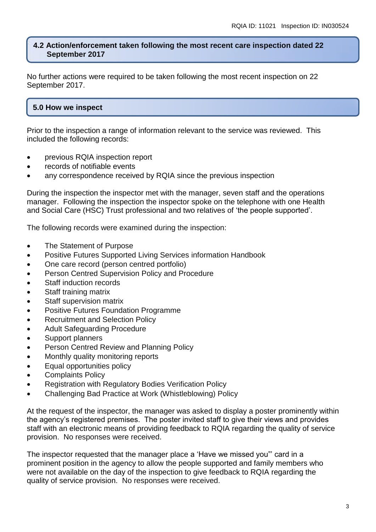### **4.2 Action/enforcement taken following the most recent care inspection dated 22 September 2017**

No further actions were required to be taken following the most recent inspection on 22 September 2017.

## **5.0 How we inspect**

Prior to the inspection a range of information relevant to the service was reviewed. This included the following records:

- previous RQIA inspection report
- records of notifiable events
- any correspondence received by RQIA since the previous inspection

During the inspection the inspector met with the manager, seven staff and the operations manager. Following the inspection the inspector spoke on the telephone with one Health and Social Care (HSC) Trust professional and two relatives of 'the people supported'.

The following records were examined during the inspection:

- The Statement of Purpose
- Positive Futures Supported Living Services information Handbook
- One care record (person centred portfolio)
- **•** Person Centred Supervision Policy and Procedure
- Staff induction records
- Staff training matrix
- Staff supervision matrix
- Positive Futures Foundation Programme
- Recruitment and Selection Policy
- Adult Safeguarding Procedure
- Support planners
- Person Centred Review and Planning Policy
- Monthly quality monitoring reports
- Equal opportunities policy
- Complaints Policy
- Registration with Regulatory Bodies Verification Policy
- Challenging Bad Practice at Work (Whistleblowing) Policy

At the request of the inspector, the manager was asked to display a poster prominently within the agency's registered premises. The poster invited staff to give their views and provides staff with an electronic means of providing feedback to RQIA regarding the quality of service provision. No responses were received.

The inspector requested that the manager place a 'Have we missed you"' card in a prominent position in the agency to allow the people supported and family members who were not available on the day of the inspection to give feedback to RQIA regarding the quality of service provision. No responses were received.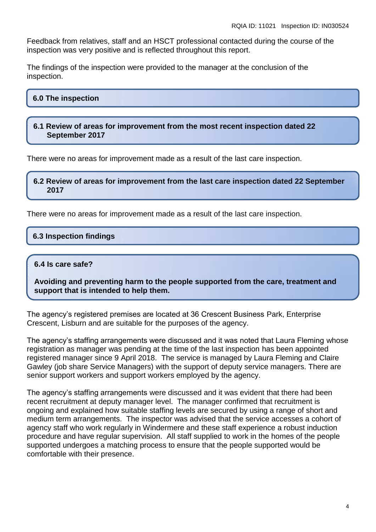Feedback from relatives, staff and an HSCT professional contacted during the course of the inspection was very positive and is reflected throughout this report.

The findings of the inspection were provided to the manager at the conclusion of the inspection.

## **6.0 The inspection**

**6.1 Review of areas for improvement from the most recent inspection dated 22 September 2017**

There were no areas for improvement made as a result of the last care inspection.

**6.2 Review of areas for improvement from the last care inspection dated 22 September 2017**

There were no areas for improvement made as a result of the last care inspection.

## **6.3 Inspection findings**

#### **6.4 Is care safe?**

**Avoiding and preventing harm to the people supported from the care, treatment and support that is intended to help them.**

The agency's registered premises are located at 36 Crescent Business Park, Enterprise Crescent, Lisburn and are suitable for the purposes of the agency.

The agency's staffing arrangements were discussed and it was noted that Laura Fleming whose registration as manager was pending at the time of the last inspection has been appointed registered manager since 9 April 2018. The service is managed by Laura Fleming and Claire Gawley (job share Service Managers) with the support of deputy service managers. There are senior support workers and support workers employed by the agency.

The agency's staffing arrangements were discussed and it was evident that there had been recent recruitment at deputy manager level. The manager confirmed that recruitment is ongoing and explained how suitable staffing levels are secured by using a range of short and medium term arrangements. The inspector was advised that the service accesses a cohort of agency staff who work regularly in Windermere and these staff experience a robust induction procedure and have regular supervision. All staff supplied to work in the homes of the people supported undergoes a matching process to ensure that the people supported would be comfortable with their presence.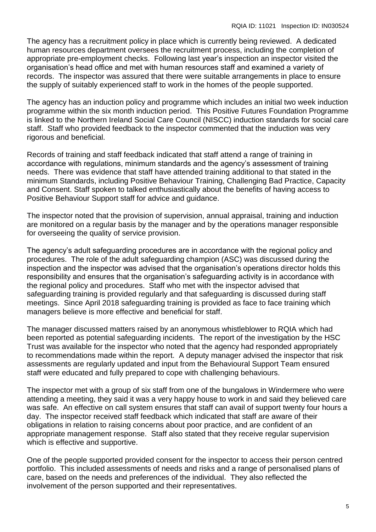The agency has a recruitment policy in place which is currently being reviewed. A dedicated human resources department oversees the recruitment process, including the completion of appropriate pre-employment checks. Following last year's inspection an inspector visited the organisation's head office and met with human resources staff and examined a variety of records. The inspector was assured that there were suitable arrangements in place to ensure the supply of suitably experienced staff to work in the homes of the people supported.

The agency has an induction policy and programme which includes an initial two week induction programme within the six month induction period. This Positive Futures Foundation Programme is linked to the Northern Ireland Social Care Council (NISCC) induction standards for social care staff. Staff who provided feedback to the inspector commented that the induction was very rigorous and beneficial.

Records of training and staff feedback indicated that staff attend a range of training in accordance with regulations, minimum standards and the agency's assessment of training needs. There was evidence that staff have attended training additional to that stated in the minimum Standards, including Positive Behaviour Training, Challenging Bad Practice, Capacity and Consent. Staff spoken to talked enthusiastically about the benefits of having access to Positive Behaviour Support staff for advice and guidance.

The inspector noted that the provision of supervision, annual appraisal, training and induction are monitored on a regular basis by the manager and by the operations manager responsible for overseeing the quality of service provision.

The agency's adult safeguarding procedures are in accordance with the regional policy and procedures. The role of the adult safeguarding champion (ASC) was discussed during the inspection and the inspector was advised that the organisation's operations director holds this responsibility and ensures that the organisation's safeguarding activity is in accordance with the regional policy and procedures. Staff who met with the inspector advised that safeguarding training is provided regularly and that safeguarding is discussed during staff meetings. Since April 2018 safeguarding training is provided as face to face training which managers believe is more effective and beneficial for staff.

The manager discussed matters raised by an anonymous whistleblower to RQIA which had been reported as potential safeguarding incidents. The report of the investigation by the HSC Trust was available for the inspector who noted that the agency had responded appropriately to recommendations made within the report. A deputy manager advised the inspector that risk assessments are regularly updated and input from the Behavioural Support Team ensured staff were educated and fully prepared to cope with challenging behaviours.

The inspector met with a group of six staff from one of the bungalows in Windermere who were attending a meeting, they said it was a very happy house to work in and said they believed care was safe. An effective on call system ensures that staff can avail of support twenty four hours a day. The inspector received staff feedback which indicated that staff are aware of their obligations in relation to raising concerns about poor practice, and are confident of an appropriate management response. Staff also stated that they receive regular supervision which is effective and supportive.

One of the people supported provided consent for the inspector to access their person centred portfolio. This included assessments of needs and risks and a range of personalised plans of care, based on the needs and preferences of the individual. They also reflected the involvement of the person supported and their representatives.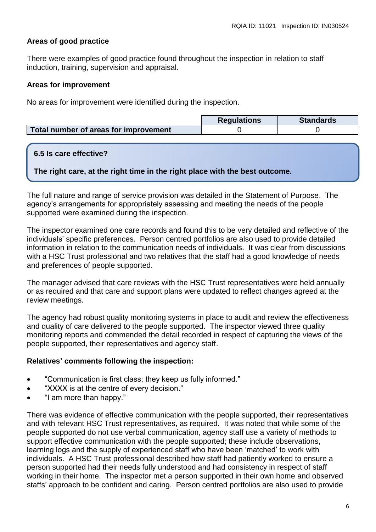## **Areas of good practice**

There were examples of good practice found throughout the inspection in relation to staff induction, training, supervision and appraisal.

#### **Areas for improvement**

No areas for improvement were identified during the inspection.

|                                       | <b>Regulations</b> | <b>Standards</b> |
|---------------------------------------|--------------------|------------------|
| Total number of areas for improvement |                    |                  |

#### **6.5 Is care effective?**

**The right care, at the right time in the right place with the best outcome.**

The full nature and range of service provision was detailed in the Statement of Purpose. The agency's arrangements for appropriately assessing and meeting the needs of the people supported were examined during the inspection.

The inspector examined one care records and found this to be very detailed and reflective of the individuals' specific preferences. Person centred portfolios are also used to provide detailed information in relation to the communication needs of individuals. It was clear from discussions with a HSC Trust professional and two relatives that the staff had a good knowledge of needs and preferences of people supported.

The manager advised that care reviews with the HSC Trust representatives were held annually or as required and that care and support plans were updated to reflect changes agreed at the review meetings.

The agency had robust quality monitoring systems in place to audit and review the effectiveness and quality of care delivered to the people supported. The inspector viewed three quality monitoring reports and commended the detail recorded in respect of capturing the views of the people supported, their representatives and agency staff.

#### **Relatives' comments following the inspection:**

- "Communication is first class; they keep us fully informed."
- "XXXX is at the centre of every decision."
- "I am more than happy."

There was evidence of effective communication with the people supported, their representatives and with relevant HSC Trust representatives, as required. It was noted that while some of the people supported do not use verbal communication, agency staff use a variety of methods to support effective communication with the people supported; these include observations, learning logs and the supply of experienced staff who have been 'matched' to work with individuals. A HSC Trust professional described how staff had patiently worked to ensure a person supported had their needs fully understood and had consistency in respect of staff working in their home. The inspector met a person supported in their own home and observed staffs' approach to be confident and caring. Person centred portfolios are also used to provide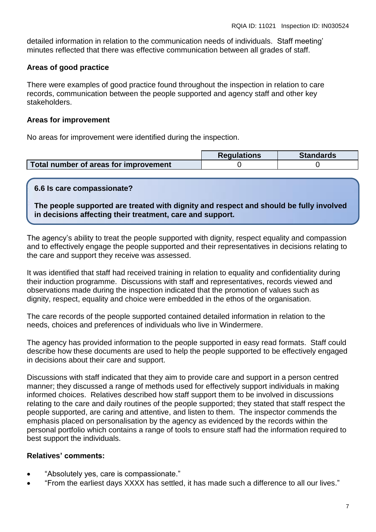detailed information in relation to the communication needs of individuals. Staff meeting' minutes reflected that there was effective communication between all grades of staff.

### **Areas of good practice**

There were examples of good practice found throughout the inspection in relation to care records, communication between the people supported and agency staff and other key stakeholders.

### **Areas for improvement**

No areas for improvement were identified during the inspection.

|                                       | <b>Requlations</b> | <b>Standards</b> |
|---------------------------------------|--------------------|------------------|
| Total number of areas for improvement |                    |                  |

## **6.6 Is care compassionate?**

**The people supported are treated with dignity and respect and should be fully involved in decisions affecting their treatment, care and support.**

The agency's ability to treat the people supported with dignity, respect equality and compassion and to effectively engage the people supported and their representatives in decisions relating to the care and support they receive was assessed.

It was identified that staff had received training in relation to equality and confidentiality during their induction programme. Discussions with staff and representatives, records viewed and observations made during the inspection indicated that the promotion of values such as dignity, respect, equality and choice were embedded in the ethos of the organisation.

The care records of the people supported contained detailed information in relation to the needs, choices and preferences of individuals who live in Windermere.

The agency has provided information to the people supported in easy read formats. Staff could describe how these documents are used to help the people supported to be effectively engaged in decisions about their care and support.

Discussions with staff indicated that they aim to provide care and support in a person centred manner; they discussed a range of methods used for effectively support individuals in making informed choices. Relatives described how staff support them to be involved in discussions relating to the care and daily routines of the people supported; they stated that staff respect the people supported, are caring and attentive, and listen to them. The inspector commends the emphasis placed on personalisation by the agency as evidenced by the records within the personal portfolio which contains a range of tools to ensure staff had the information required to best support the individuals.

#### **Relatives' comments:**

- "Absolutely yes, care is compassionate."
- "From the earliest days XXXX has settled, it has made such a difference to all our lives."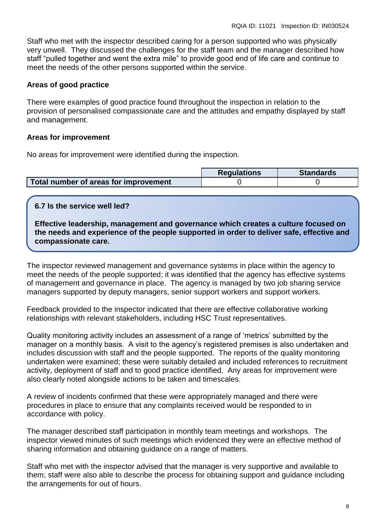Staff who met with the inspector described caring for a person supported who was physically very unwell. They discussed the challenges for the staff team and the manager described how staff "pulled together and went the extra mile" to provide good end of life care and continue to meet the needs of the other persons supported within the service.

## **Areas of good practice**

There were examples of good practice found throughout the inspection in relation to the provision of personalised compassionate care and the attitudes and empathy displayed by staff and management.

#### **Areas for improvement**

No areas for improvement were identified during the inspection.

|                                       | <b>Regulations</b> | <b>Standards</b> |
|---------------------------------------|--------------------|------------------|
| Total number of areas for improvement |                    |                  |

## **6.7 Is the service well led?**

**Effective leadership, management and governance which creates a culture focused on the needs and experience of the people supported in order to deliver safe, effective and compassionate care.**

The inspector reviewed management and governance systems in place within the agency to meet the needs of the people supported; it was identified that the agency has effective systems of management and governance in place. The agency is managed by two job sharing service managers supported by deputy managers, senior support workers and support workers.

Feedback provided to the inspector indicated that there are effective collaborative working relationships with relevant stakeholders, including HSC Trust representatives.

Quality monitoring activity includes an assessment of a range of 'metrics' submitted by the manager on a monthly basis. A visit to the agency's registered premises is also undertaken and includes discussion with staff and the people supported. The reports of the quality monitoring undertaken were examined; these were suitably detailed and included references to recruitment activity, deployment of staff and to good practice identified. Any areas for improvement were also clearly noted alongside actions to be taken and timescales.

A review of incidents confirmed that these were appropriately managed and there were procedures in place to ensure that any complaints received would be responded to in accordance with policy.

The manager described staff participation in monthly team meetings and workshops. The inspector viewed minutes of such meetings which evidenced they were an effective method of sharing information and obtaining guidance on a range of matters.

Staff who met with the inspector advised that the manager is very supportive and available to them; staff were also able to describe the process for obtaining support and guidance including the arrangements for out of hours.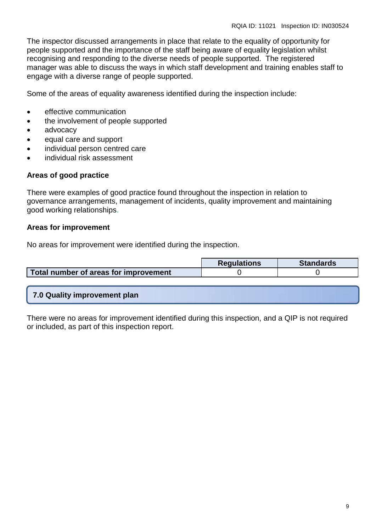The inspector discussed arrangements in place that relate to the equality of opportunity for people supported and the importance of the staff being aware of equality legislation whilst recognising and responding to the diverse needs of people supported. The registered manager was able to discuss the ways in which staff development and training enables staff to engage with a diverse range of people supported.

Some of the areas of equality awareness identified during the inspection include:

- **e** effective communication
- the involvement of people supported
- advocacy
- equal care and support
- individual person centred care
- individual risk assessment

#### **Areas of good practice**

There were examples of good practice found throughout the inspection in relation to governance arrangements, management of incidents, quality improvement and maintaining good working relationships.

#### **Areas for improvement**

No areas for improvement were identified during the inspection.

|                                       | <b>Requlations</b> | <b>Standards</b> |
|---------------------------------------|--------------------|------------------|
| Total number of areas for improvement |                    |                  |

## **7.0 Quality improvement plan**

There were no areas for improvement identified during this inspection, and a QIP is not required or included, as part of this inspection report.